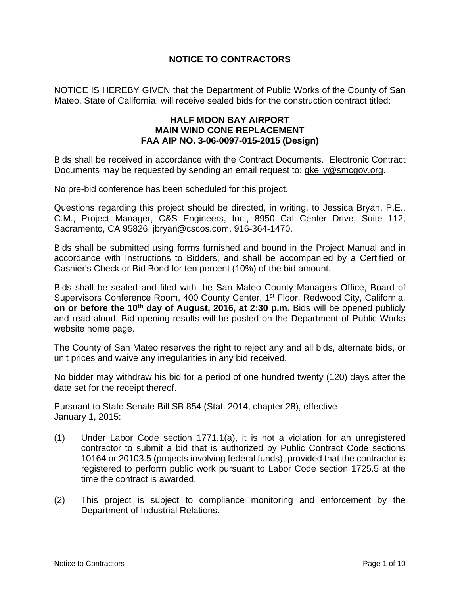# **NOTICE TO CONTRACTORS**

NOTICE IS HEREBY GIVEN that the Department of Public Works of the County of San Mateo, State of California, will receive sealed bids for the construction contract titled:

### **HALF MOON BAY AIRPORT MAIN WIND CONE REPLACEMENT FAA AIP NO. 3-06-0097-015-2015 (Design)**

Bids shall be received in accordance with the Contract Documents.Electronic Contract Documents may be requested by sending an email request to: gkelly@smcgov.org.

No pre-bid conference has been scheduled for this project.

Questions regarding this project should be directed, in writing, to Jessica Bryan, P.E., C.M., Project Manager, C&S Engineers, Inc., 8950 Cal Center Drive, Suite 112, Sacramento, CA 95826, jbryan@cscos.com, 916-364-1470.

Bids shall be submitted using forms furnished and bound in the Project Manual and in accordance with Instructions to Bidders, and shall be accompanied by a Certified or Cashier's Check or Bid Bond for ten percent (10%) of the bid amount.

Bids shall be sealed and filed with the San Mateo County Managers Office, Board of Supervisors Conference Room, 400 County Center, 1<sup>st</sup> Floor, Redwood City, California, **on or before the 10<sup>th</sup> day of August, 2016, at 2:30 p.m.** Bids will be opened publicly and read aloud. Bid opening results will be posted on the Department of Public Works website home page.

The County of San Mateo reserves the right to reject any and all bids, alternate bids, or unit prices and waive any irregularities in any bid received.

No bidder may withdraw his bid for a period of one hundred twenty (120) days after the date set for the receipt thereof.

Pursuant to State Senate Bill SB 854 (Stat. 2014, chapter 28), effective January 1, 2015:

- (1) Under Labor Code section 1771.1(a), it is not a violation for an unregistered contractor to submit a bid that is authorized by Public Contract Code sections 10164 or 20103.5 (projects involving federal funds), provided that the contractor is registered to perform public work pursuant to Labor Code section 1725.5 at the time the contract is awarded.
- (2) This project is subject to compliance monitoring and enforcement by the Department of Industrial Relations.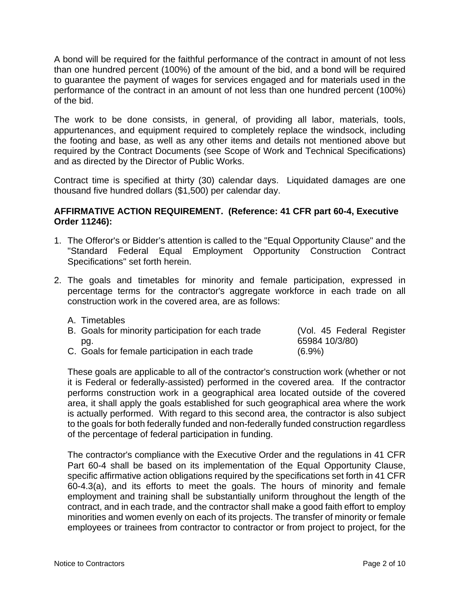A bond will be required for the faithful performance of the contract in amount of not less than one hundred percent (100%) of the amount of the bid, and a bond will be required to guarantee the payment of wages for services engaged and for materials used in the performance of the contract in an amount of not less than one hundred percent (100%) of the bid.

The work to be done consists, in general, of providing all labor, materials, tools, appurtenances, and equipment required to completely replace the windsock, including the footing and base, as well as any other items and details not mentioned above but required by the Contract Documents (see Scope of Work and Technical Specifications) and as directed by the Director of Public Works.

Contract time is specified at thirty (30) calendar days. Liquidated damages are one thousand five hundred dollars (\$1,500) per calendar day.

### **AFFIRMATIVE ACTION REQUIREMENT. (Reference: 41 CFR part 60-4, Executive Order 11246):**

- 1. The Offeror's or Bidder's attention is called to the "Equal Opportunity Clause" and the "Standard Federal Equal Employment Opportunity Construction Contract Specifications" set forth herein.
- 2. The goals and timetables for minority and female participation, expressed in percentage terms for the contractor's aggregate workforce in each trade on all construction work in the covered area, are as follows:
	- A. Timetables

| B. Goals for minority participation for each trade | (Vol. 45 Federal Register |
|----------------------------------------------------|---------------------------|
| pg.                                                | 65984 10/3/80)            |
| C. Goals for female participation in each trade    | $(6.9\%)$                 |

These goals are applicable to all of the contractor's construction work (whether or not it is Federal or federally-assisted) performed in the covered area. If the contractor performs construction work in a geographical area located outside of the covered area, it shall apply the goals established for such geographical area where the work is actually performed. With regard to this second area, the contractor is also subject to the goals for both federally funded and non-federally funded construction regardless of the percentage of federal participation in funding.

The contractor's compliance with the Executive Order and the regulations in 41 CFR Part 60-4 shall be based on its implementation of the Equal Opportunity Clause, specific affirmative action obligations required by the specifications set forth in 41 CFR 60-4.3(a), and its efforts to meet the goals. The hours of minority and female employment and training shall be substantially uniform throughout the length of the contract, and in each trade, and the contractor shall make a good faith effort to employ minorities and women evenly on each of its projects. The transfer of minority or female employees or trainees from contractor to contractor or from project to project, for the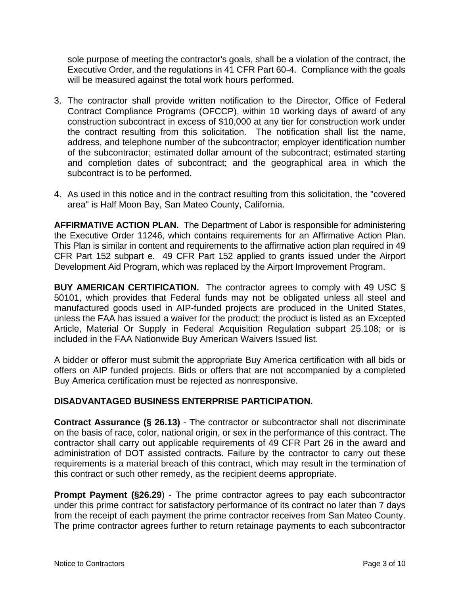sole purpose of meeting the contractor's goals, shall be a violation of the contract, the Executive Order, and the regulations in 41 CFR Part 60-4. Compliance with the goals will be measured against the total work hours performed.

- 3. The contractor shall provide written notification to the Director, Office of Federal Contract Compliance Programs (OFCCP), within 10 working days of award of any construction subcontract in excess of \$10,000 at any tier for construction work under the contract resulting from this solicitation. The notification shall list the name, address, and telephone number of the subcontractor; employer identification number of the subcontractor; estimated dollar amount of the subcontract; estimated starting and completion dates of subcontract; and the geographical area in which the subcontract is to be performed.
- 4. As used in this notice and in the contract resulting from this solicitation, the "covered area" is Half Moon Bay, San Mateo County, California.

**AFFIRMATIVE ACTION PLAN.** The Department of Labor is responsible for administering the Executive Order 11246, which contains requirements for an Affirmative Action Plan. This Plan is similar in content and requirements to the affirmative action plan required in 49 CFR Part 152 subpart e. 49 CFR Part 152 applied to grants issued under the Airport Development Aid Program, which was replaced by the Airport Improvement Program.

**BUY AMERICAN CERTIFICATION.** The contractor agrees to comply with 49 USC § 50101, which provides that Federal funds may not be obligated unless all steel and manufactured goods used in AIP-funded projects are produced in the United States, unless the FAA has issued a waiver for the product; the product is listed as an Excepted Article, Material Or Supply in Federal Acquisition Regulation subpart 25.108; or is included in the FAA Nationwide Buy American Waivers Issued list.

A bidder or offeror must submit the appropriate Buy America certification with all bids or offers on AIP funded projects. Bids or offers that are not accompanied by a completed Buy America certification must be rejected as nonresponsive.

# **DISADVANTAGED BUSINESS ENTERPRISE PARTICIPATION.**

**Contract Assurance (§ 26.13)** - The contractor or subcontractor shall not discriminate on the basis of race, color, national origin, or sex in the performance of this contract. The contractor shall carry out applicable requirements of 49 CFR Part 26 in the award and administration of DOT assisted contracts. Failure by the contractor to carry out these requirements is a material breach of this contract, which may result in the termination of this contract or such other remedy, as the recipient deems appropriate.

**Prompt Payment (§26.29)** - The prime contractor agrees to pay each subcontractor under this prime contract for satisfactory performance of its contract no later than 7 days from the receipt of each payment the prime contractor receives from San Mateo County. The prime contractor agrees further to return retainage payments to each subcontractor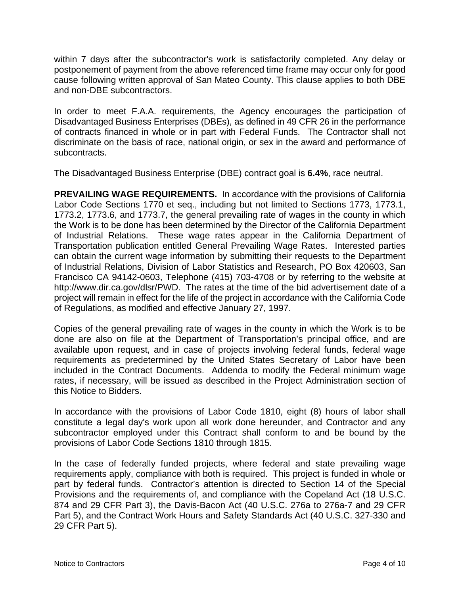within 7 days after the subcontractor's work is satisfactorily completed. Any delay or postponement of payment from the above referenced time frame may occur only for good cause following written approval of San Mateo County. This clause applies to both DBE and non-DBE subcontractors.

In order to meet F.A.A. requirements, the Agency encourages the participation of Disadvantaged Business Enterprises (DBEs), as defined in 49 CFR 26 in the performance of contracts financed in whole or in part with Federal Funds. The Contractor shall not discriminate on the basis of race, national origin, or sex in the award and performance of subcontracts.

The Disadvantaged Business Enterprise (DBE) contract goal is **6.4%**, race neutral.

**PREVAILING WAGE REQUIREMENTS.** In accordance with the provisions of California Labor Code Sections 1770 et seq., including but not limited to Sections 1773, 1773.1, 1773.2, 1773.6, and 1773.7, the general prevailing rate of wages in the county in which the Work is to be done has been determined by the Director of the California Department of Industrial Relations. These wage rates appear in the California Department of Transportation publication entitled General Prevailing Wage Rates. Interested parties can obtain the current wage information by submitting their requests to the Department of Industrial Relations, Division of Labor Statistics and Research, PO Box 420603, San Francisco CA 94142-0603, Telephone (415) 703-4708 or by referring to the website at http://www.dir.ca.gov/dlsr/PWD. The rates at the time of the bid advertisement date of a project will remain in effect for the life of the project in accordance with the California Code of Regulations, as modified and effective January 27, 1997.

Copies of the general prevailing rate of wages in the county in which the Work is to be done are also on file at the Department of Transportation's principal office, and are available upon request, and in case of projects involving federal funds, federal wage requirements as predetermined by the United States Secretary of Labor have been included in the Contract Documents. Addenda to modify the Federal minimum wage rates, if necessary, will be issued as described in the Project Administration section of this Notice to Bidders.

In accordance with the provisions of Labor Code 1810, eight (8) hours of labor shall constitute a legal day's work upon all work done hereunder, and Contractor and any subcontractor employed under this Contract shall conform to and be bound by the provisions of Labor Code Sections 1810 through 1815.

In the case of federally funded projects, where federal and state prevailing wage requirements apply, compliance with both is required. This project is funded in whole or part by federal funds. Contractor's attention is directed to Section 14 of the Special Provisions and the requirements of, and compliance with the Copeland Act (18 U.S.C. 874 and 29 CFR Part 3), the Davis-Bacon Act (40 U.S.C. 276a to 276a-7 and 29 CFR Part 5), and the Contract Work Hours and Safety Standards Act (40 U.S.C. 327-330 and 29 CFR Part 5).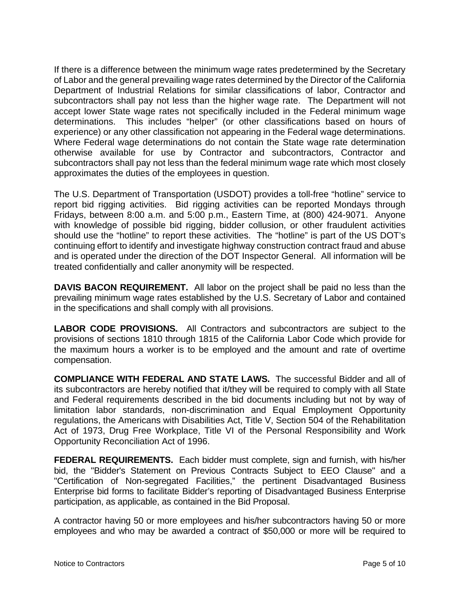If there is a difference between the minimum wage rates predetermined by the Secretary of Labor and the general prevailing wage rates determined by the Director of the California Department of Industrial Relations for similar classifications of labor, Contractor and subcontractors shall pay not less than the higher wage rate. The Department will not accept lower State wage rates not specifically included in the Federal minimum wage determinations. This includes "helper" (or other classifications based on hours of experience) or any other classification not appearing in the Federal wage determinations. Where Federal wage determinations do not contain the State wage rate determination otherwise available for use by Contractor and subcontractors, Contractor and subcontractors shall pay not less than the federal minimum wage rate which most closely approximates the duties of the employees in question.

The U.S. Department of Transportation (USDOT) provides a toll-free "hotline" service to report bid rigging activities. Bid rigging activities can be reported Mondays through Fridays, between 8:00 a.m. and 5:00 p.m., Eastern Time, at (800) 424-9071. Anyone with knowledge of possible bid rigging, bidder collusion, or other fraudulent activities should use the "hotline" to report these activities. The "hotline" is part of the US DOT's continuing effort to identify and investigate highway construction contract fraud and abuse and is operated under the direction of the DOT Inspector General. All information will be treated confidentially and caller anonymity will be respected.

**DAVIS BACON REQUIREMENT.** All labor on the project shall be paid no less than the prevailing minimum wage rates established by the U.S. Secretary of Labor and contained in the specifications and shall comply with all provisions.

**LABOR CODE PROVISIONS.** All Contractors and subcontractors are subject to the provisions of sections 1810 through 1815 of the California Labor Code which provide for the maximum hours a worker is to be employed and the amount and rate of overtime compensation.

**COMPLIANCE WITH FEDERAL AND STATE LAWS.** The successful Bidder and all of its subcontractors are hereby notified that it/they will be required to comply with all State and Federal requirements described in the bid documents including but not by way of limitation labor standards, non-discrimination and Equal Employment Opportunity regulations, the Americans with Disabilities Act, Title V, Section 504 of the Rehabilitation Act of 1973, Drug Free Workplace, Title VI of the Personal Responsibility and Work Opportunity Reconciliation Act of 1996.

**FEDERAL REQUIREMENTS.** Each bidder must complete, sign and furnish, with his/her bid, the "Bidder's Statement on Previous Contracts Subject to EEO Clause" and a "Certification of Non-segregated Facilities," the pertinent Disadvantaged Business Enterprise bid forms to facilitate Bidder's reporting of Disadvantaged Business Enterprise participation, as applicable, as contained in the Bid Proposal.

A contractor having 50 or more employees and his/her subcontractors having 50 or more employees and who may be awarded a contract of \$50,000 or more will be required to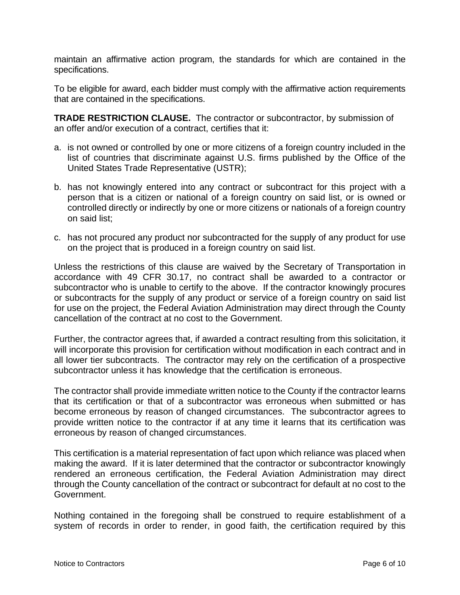maintain an affirmative action program, the standards for which are contained in the specifications.

To be eligible for award, each bidder must comply with the affirmative action requirements that are contained in the specifications.

**TRADE RESTRICTION CLAUSE.** The contractor or subcontractor, by submission of an offer and/or execution of a contract, certifies that it:

- a. is not owned or controlled by one or more citizens of a foreign country included in the list of countries that discriminate against U.S. firms published by the Office of the United States Trade Representative (USTR);
- b. has not knowingly entered into any contract or subcontract for this project with a person that is a citizen or national of a foreign country on said list, or is owned or controlled directly or indirectly by one or more citizens or nationals of a foreign country on said list;
- c. has not procured any product nor subcontracted for the supply of any product for use on the project that is produced in a foreign country on said list.

Unless the restrictions of this clause are waived by the Secretary of Transportation in accordance with 49 CFR 30.17, no contract shall be awarded to a contractor or subcontractor who is unable to certify to the above. If the contractor knowingly procures or subcontracts for the supply of any product or service of a foreign country on said list for use on the project, the Federal Aviation Administration may direct through the County cancellation of the contract at no cost to the Government.

Further, the contractor agrees that, if awarded a contract resulting from this solicitation, it will incorporate this provision for certification without modification in each contract and in all lower tier subcontracts. The contractor may rely on the certification of a prospective subcontractor unless it has knowledge that the certification is erroneous.

The contractor shall provide immediate written notice to the County if the contractor learns that its certification or that of a subcontractor was erroneous when submitted or has become erroneous by reason of changed circumstances. The subcontractor agrees to provide written notice to the contractor if at any time it learns that its certification was erroneous by reason of changed circumstances.

This certification is a material representation of fact upon which reliance was placed when making the award. If it is later determined that the contractor or subcontractor knowingly rendered an erroneous certification, the Federal Aviation Administration may direct through the County cancellation of the contract or subcontract for default at no cost to the Government.

Nothing contained in the foregoing shall be construed to require establishment of a system of records in order to render, in good faith, the certification required by this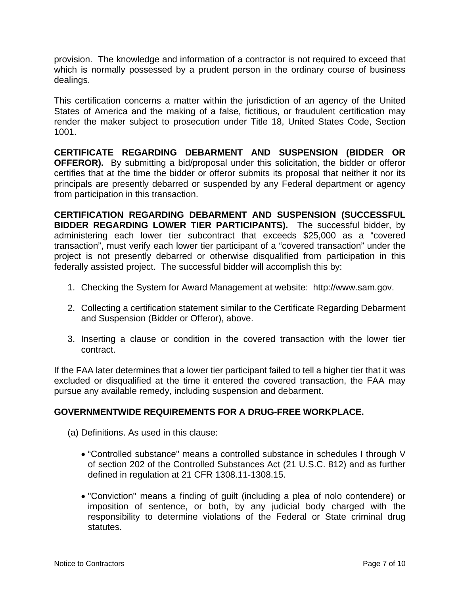provision. The knowledge and information of a contractor is not required to exceed that which is normally possessed by a prudent person in the ordinary course of business dealings.

This certification concerns a matter within the jurisdiction of an agency of the United States of America and the making of a false, fictitious, or fraudulent certification may render the maker subject to prosecution under Title 18, United States Code, Section 1001.

**CERTIFICATE REGARDING DEBARMENT AND SUSPENSION (BIDDER OR OFFEROR).** By submitting a bid/proposal under this solicitation, the bidder or offeror certifies that at the time the bidder or offeror submits its proposal that neither it nor its principals are presently debarred or suspended by any Federal department or agency from participation in this transaction.

**CERTIFICATION REGARDING DEBARMENT AND SUSPENSION (SUCCESSFUL BIDDER REGARDING LOWER TIER PARTICIPANTS).** The successful bidder, by administering each lower tier subcontract that exceeds \$25,000 as a "covered transaction", must verify each lower tier participant of a "covered transaction" under the project is not presently debarred or otherwise disqualified from participation in this federally assisted project. The successful bidder will accomplish this by:

- 1. Checking the System for Award Management at website: http://www.sam.gov.
- 2. Collecting a certification statement similar to the Certificate Regarding Debarment and Suspension (Bidder or Offeror), above.
- 3. Inserting a clause or condition in the covered transaction with the lower tier contract.

If the FAA later determines that a lower tier participant failed to tell a higher tier that it was excluded or disqualified at the time it entered the covered transaction, the FAA may pursue any available remedy, including suspension and debarment.

# **GOVERNMENTWIDE REQUIREMENTS FOR A DRUG-FREE WORKPLACE.**

- (a) Definitions. As used in this clause:
	- "Controlled substance" means a controlled substance in schedules I through V of section 202 of the Controlled Substances Act (21 U.S.C. 812) and as further defined in regulation at 21 CFR 1308.11-1308.15.
	- "Conviction" means a finding of guilt (including a plea of nolo contendere) or imposition of sentence, or both, by any judicial body charged with the responsibility to determine violations of the Federal or State criminal drug statutes.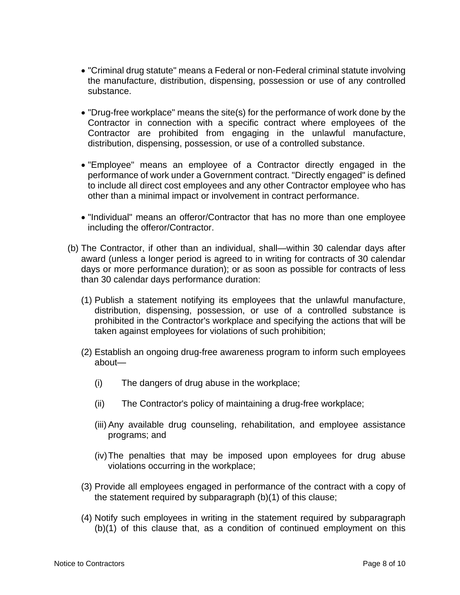- "Criminal drug statute" means a Federal or non-Federal criminal statute involving the manufacture, distribution, dispensing, possession or use of any controlled substance.
- "Drug-free workplace" means the site(s) for the performance of work done by the Contractor in connection with a specific contract where employees of the Contractor are prohibited from engaging in the unlawful manufacture, distribution, dispensing, possession, or use of a controlled substance.
- "Employee" means an employee of a Contractor directly engaged in the performance of work under a Government contract. "Directly engaged" is defined to include all direct cost employees and any other Contractor employee who has other than a minimal impact or involvement in contract performance.
- "Individual" means an offeror/Contractor that has no more than one employee including the offeror/Contractor.
- (b) The Contractor, if other than an individual, shall—within 30 calendar days after award (unless a longer period is agreed to in writing for contracts of 30 calendar days or more performance duration); or as soon as possible for contracts of less than 30 calendar days performance duration:
	- (1) Publish a statement notifying its employees that the unlawful manufacture, distribution, dispensing, possession, or use of a controlled substance is prohibited in the Contractor's workplace and specifying the actions that will be taken against employees for violations of such prohibition;
	- (2) Establish an ongoing drug-free awareness program to inform such employees about—
		- (i) The dangers of drug abuse in the workplace;
		- (ii) The Contractor's policy of maintaining a drug-free workplace;
		- (iii) Any available drug counseling, rehabilitation, and employee assistance programs; and
		- (iv) The penalties that may be imposed upon employees for drug abuse violations occurring in the workplace;
	- (3) Provide all employees engaged in performance of the contract with a copy of the statement required by subparagraph (b)(1) of this clause;
	- (4) Notify such employees in writing in the statement required by subparagraph (b)(1) of this clause that, as a condition of continued employment on this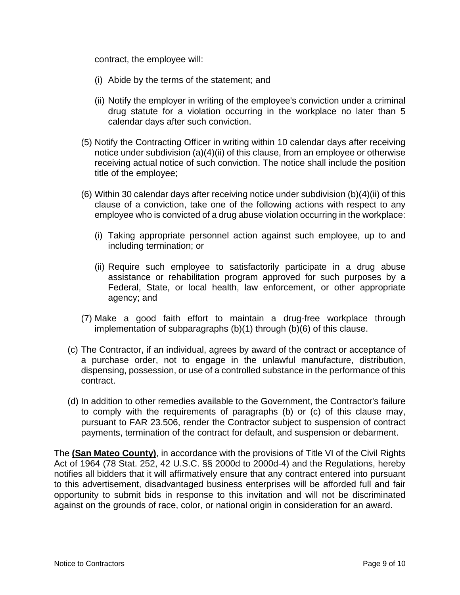contract, the employee will:

- (i) Abide by the terms of the statement; and
- (ii) Notify the employer in writing of the employee's conviction under a criminal drug statute for a violation occurring in the workplace no later than 5 calendar days after such conviction.
- (5) Notify the Contracting Officer in writing within 10 calendar days after receiving notice under subdivision (a)(4)(ii) of this clause, from an employee or otherwise receiving actual notice of such conviction. The notice shall include the position title of the employee;
- (6) Within 30 calendar days after receiving notice under subdivision (b)(4)(ii) of this clause of a conviction, take one of the following actions with respect to any employee who is convicted of a drug abuse violation occurring in the workplace:
	- (i) Taking appropriate personnel action against such employee, up to and including termination; or
	- (ii) Require such employee to satisfactorily participate in a drug abuse assistance or rehabilitation program approved for such purposes by a Federal, State, or local health, law enforcement, or other appropriate agency; and
- (7) Make a good faith effort to maintain a drug-free workplace through implementation of subparagraphs (b)(1) through (b)(6) of this clause.
- (c) The Contractor, if an individual, agrees by award of the contract or acceptance of a purchase order, not to engage in the unlawful manufacture, distribution, dispensing, possession, or use of a controlled substance in the performance of this contract.
- (d) In addition to other remedies available to the Government, the Contractor's failure to comply with the requirements of paragraphs (b) or (c) of this clause may, pursuant to FAR 23.506, render the Contractor subject to suspension of contract payments, termination of the contract for default, and suspension or debarment.

The **(San Mateo County)**, in accordance with the provisions of Title VI of the Civil Rights Act of 1964 (78 Stat. 252, 42 U.S.C. §§ 2000d to 2000d-4) and the Regulations, hereby notifies all bidders that it will affirmatively ensure that any contract entered into pursuant to this advertisement, disadvantaged business enterprises will be afforded full and fair opportunity to submit bids in response to this invitation and will not be discriminated against on the grounds of race, color, or national origin in consideration for an award.